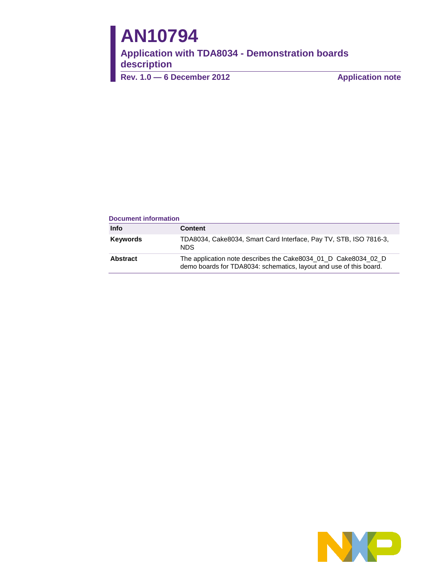# **AN10794**

**Application with TDA8034 - Demonstration boards description** 

**Rev. 1.0** — 6 December 2012 **Application note** 

#### **Document information**

| <b>Info</b>     | <b>Content</b>                                                                                                                       |
|-----------------|--------------------------------------------------------------------------------------------------------------------------------------|
| <b>Keywords</b> | TDA8034, Cake8034, Smart Card Interface, Pay TV, STB, ISO 7816-3,<br>NDS.                                                            |
| <b>Abstract</b> | The application note describes the Cake8034 01 D Cake8034 02 D<br>demo boards for TDA8034: schematics, layout and use of this board. |

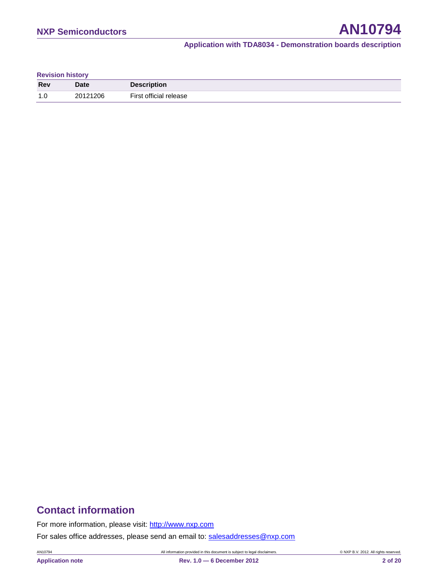| <b>Revision history</b> |  |
|-------------------------|--|
|-------------------------|--|

| <b>Rev</b> | Date     | <b>Description</b>     |
|------------|----------|------------------------|
| 1.0        | 20121206 | First official release |

# **Contact information**

For more information, please visit: [http://www.nxp.com](http://www.nxp.com/)

For sales office addresses, please send an email to: [salesaddresses@nxp.com](mailto:salesaddresses@nxp.com)

AN10794 All information provided in this document is subject to legal disclaimers. © NXP B.V. 2012. All rights reserved.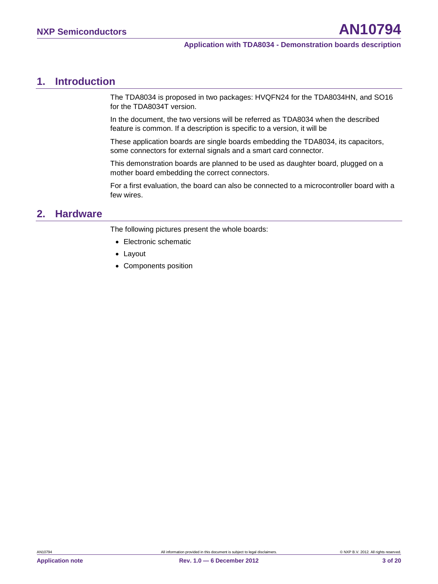# <span id="page-2-0"></span>**1. Introduction**

The TDA8034 is proposed in two packages: HVQFN24 for the TDA8034HN, and SO16 for the TDA8034T version.

In the document, the two versions will be referred as TDA8034 when the described feature is common. If a description is specific to a version, it will be

These application boards are single boards embedding the TDA8034, its capacitors, some connectors for external signals and a smart card connector.

This demonstration boards are planned to be used as daughter board, plugged on a mother board embedding the correct connectors.

For a first evaluation, the board can also be connected to a microcontroller board with a few wires.

# <span id="page-2-1"></span>**2. Hardware**

The following pictures present the whole boards:

- Electronic schematic
- Layout
- Components position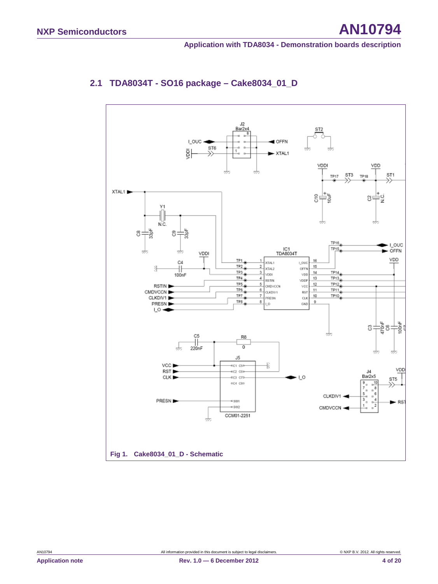<span id="page-3-0"></span>

## <span id="page-3-1"></span>**2.1 TDA8034T - SO16 package – Cake8034\_01\_D**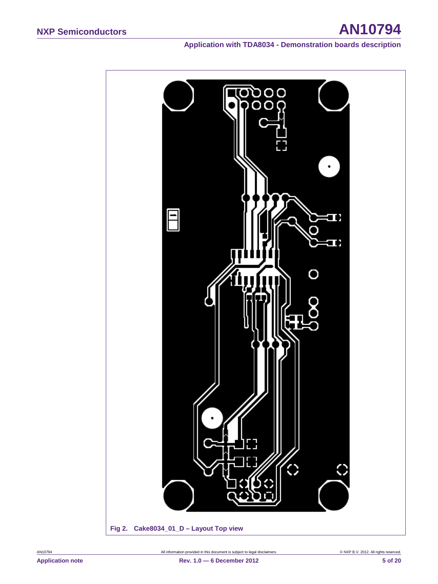

<span id="page-4-0"></span>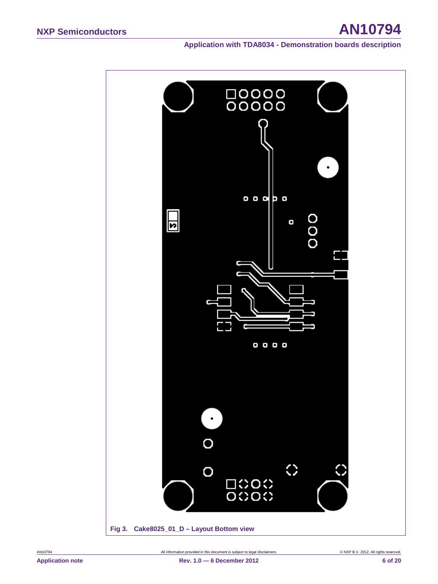<span id="page-5-0"></span>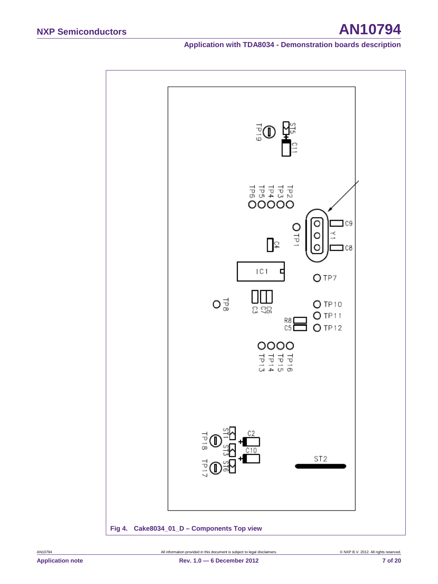

<span id="page-6-0"></span>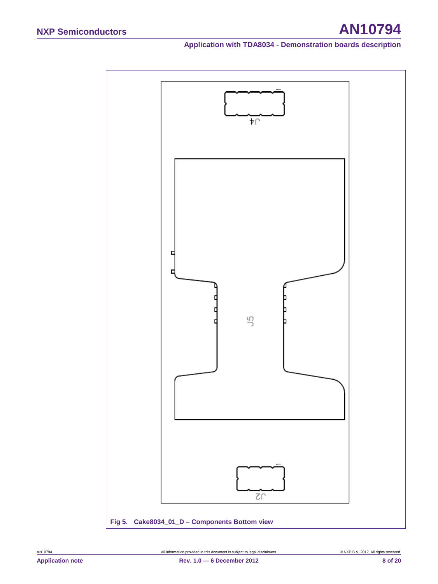

<span id="page-7-0"></span>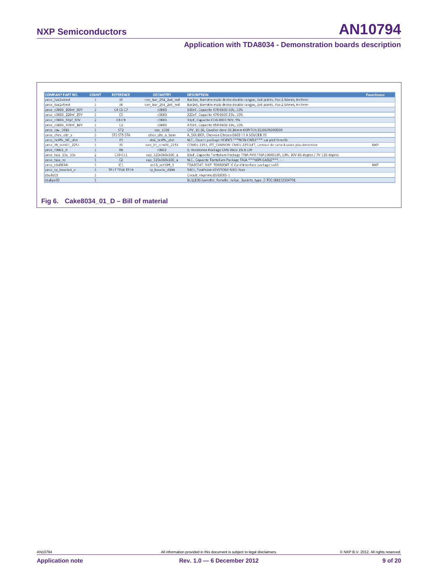| <b>COMPANY PART NO.</b> | <b>COUNT</b> | <b>REFERENCE</b> | <b>GEOMETRY</b>    | <b>DESCRIPTION</b>                                                                         | <b>Fournisseur</b> |
|-------------------------|--------------|------------------|--------------------|--------------------------------------------------------------------------------------------|--------------------|
| pnsx_bar2x4md           |              | J2               | con bar 254 2x4 md | Bar2x4, Barrette male droite double rangee, 2x4 points, Pas:2.54mm, H=7mm                  |                    |
| pnsx_bar2x5md           |              | J <sub>4</sub>   | con_bar_254_2x5_md | Bar2x5, Barrette male droite double rangee, 2x5 points, Pas:2.54mm, H=7mm                  |                    |
| pnsx c0603 100nf 50V    |              | C4 C6 C7         | c0603              | 100nF, Capacite X7R 0603 50V, 10%                                                          |                    |
| pnsx_c0603_220nf_25V    |              | C5               | c0603              | 220nF, Capacite X7R 0603 25V, 10%                                                          |                    |
| pnsx_c0603_33pf_50V     |              | C8 C9            | c0603              | 33pF, Capacite COG 0603 50V, 5%                                                            |                    |
| pnsx c0603 470nf 16V    |              | C <sub>3</sub>   | c0603              | 470nF, Capacite X5R 0603 16V, 10%                                                          |                    |
| pnsx_cav_1016           |              | ST <sub>2</sub>  | cav 1016           | CAV 10.16, Cavalier dore 10.16mm KONTEK:3130676000500                                      |                    |
| pnsx_chev_citr_s        |              | ST3 ST5 ST6      | chev citr o bom    | A SOUDER, Chevron Citroen 0603 !!! A SOUDER !!!                                            |                    |
| pnsx_hc49s_NC_plot      |              | Y1               | xtal hc49s plot    | N.C., Quartz package HC49/S *** NON CABLE*** sur plot femelle                              |                    |
| pnsx_itt_ccm01_2251     |              | J5               | con itt ccm01 2251 | CCM01-2251, ITT CANNON: CM01-2251LFT, Lecteur de carte 8 voies plus detection              | <b>NXP</b>         |
| pnsx_r0603_0            |              | R <sub>8</sub>   | r0603              | 0, Resistance Package CMS 0603 1% 0.1W                                                     |                    |
| pnsx_taja_10u_10v       |              | C10 C11          | cap_320x160x160_a  | 10uF, Capacite Tantalium Package TAJA AVX:TAJA106K010R, 10%, 10V-85 degres / 7V-125 degres |                    |
| pnsx_taja_nc            |              | C <sub>2</sub>   | cap_320x160x160_a  | N.C., Capacite Tantalium Package TAJA *** NON CABLE***, -, -                               |                    |
| pnsx_tda8034t           |              | IC1              | so16_sot109_1      | TDA8034T, NXP: TDA8034T IC Card Interface package:so16                                     | <b>NXP</b>         |
| pnsx tp boucle1 n       |              | TP17 TP18 TP19   | tp_boucle_d100     | 5001, TestPoint:KEYSTONE:5001 Noir                                                         |                    |
| zbulle01                |              |                  |                    | Circuit_imprime:BSX0085-1                                                                  |                    |
| ztulipe03               |              |                  |                    | BULLE06:barrette femelle tulipe 3points type E-TEC:SIB132S04701                            |                    |

<span id="page-8-0"></span>**Fig 6. Cake8034\_01\_D – Bill of material**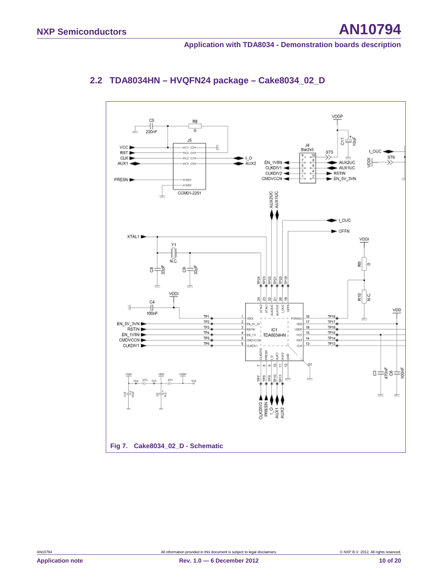<span id="page-9-0"></span>

# <span id="page-9-1"></span>**2.2 TDA8034HN – HVQFN24 package – Cake8034\_02\_D**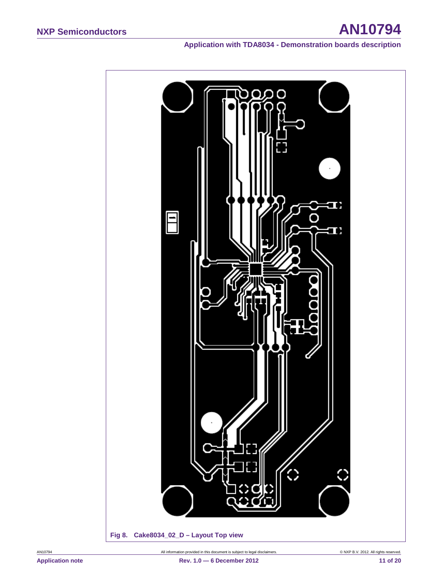<span id="page-10-0"></span>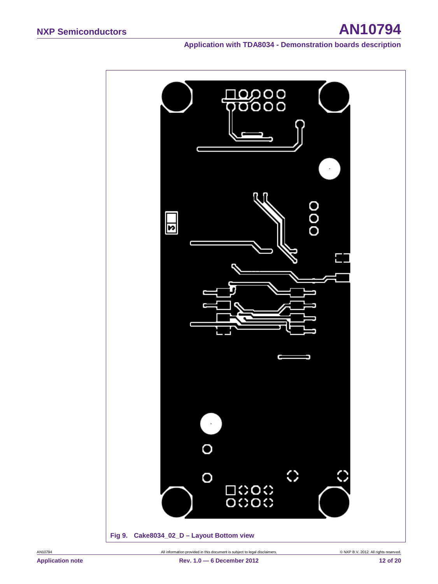# **NXP Semiconductors AN10794**

<span id="page-11-0"></span>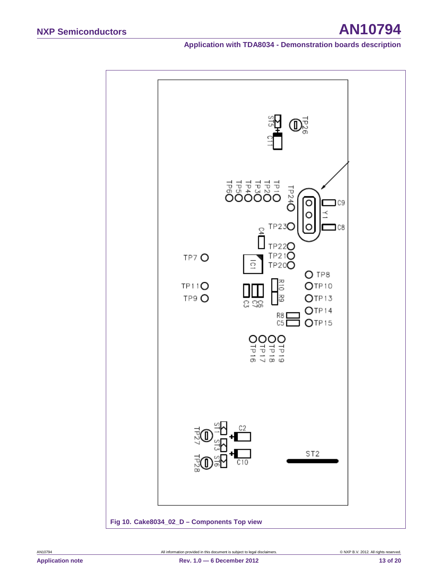

<span id="page-12-0"></span>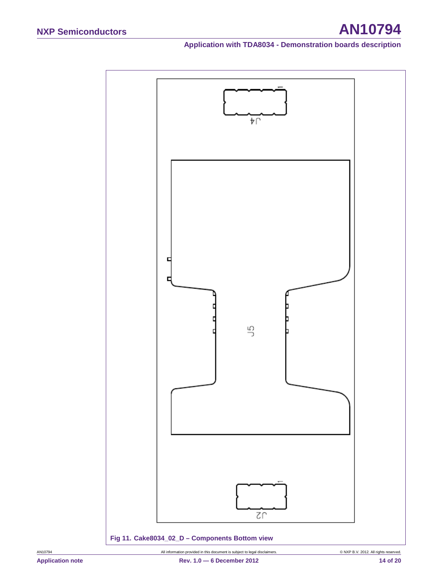

<span id="page-13-0"></span>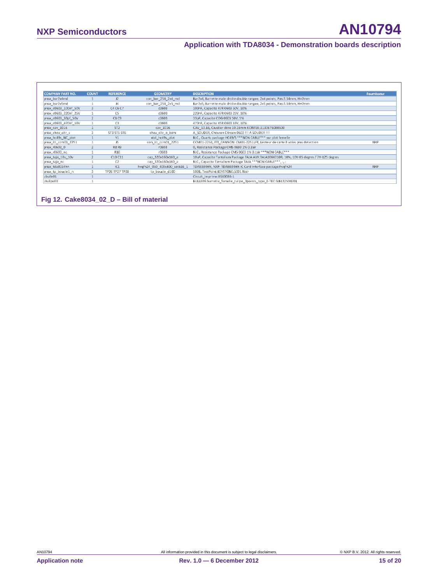| <b>COMPANY PART NO.</b> | <b>COUNT</b>  | <b>REFERENCE</b> | <b>GEOMETRY</b>              | <b>DESCRIPTION</b>                                                                         | <b>Fournisseur</b> |
|-------------------------|---------------|------------------|------------------------------|--------------------------------------------------------------------------------------------|--------------------|
| pnsx bar2x4md           |               | J2               | con bar 254 2x4 md           | Bar2x4, Barrette male droite double rangee, 2x4 points, Pas:2.54mm, H=7mm                  |                    |
| pnsx_bar2x5md           |               | I4               | con_bar_254_2x5_md           | Bar2x5, Barrette male droite double rangee, 2x5 points, Pas:2.54mm, H=7mm                  |                    |
| pnsx_c0603_100nf_50V    |               | C4 C6 C7         | c0603                        | 100nF, Capacite X7R 0603 50V, 10%                                                          |                    |
| pnsx_c0603_220nf_25V    |               | C5               | c0603                        | 220nF, Capacite X7R 0603 25V, 10%                                                          |                    |
| pnsx_c0603_33pf_50V     | $\mathcal{P}$ | C8 C9            | c0603                        | 33pF, Capacite COG 0603 50V, 5%                                                            |                    |
| pnsx c0603 470nf 16V    |               | C <sub>3</sub>   | c0603                        | 470nF, Capacite X5R 0603 16V, 10%                                                          |                    |
| pnsx_cav_1016           |               | ST <sub>2</sub>  | cav_1016                     | CAV_10.16, Cavalier dore 10.16mm KONTEK:3130676000500                                      |                    |
| pnsx_chev_citr_s        |               | ST3 ST5 ST6      | chev_citr_o_bom              | A_SOUDER, Chevron Citroen 0603 !!! A SOUDER !!!                                            |                    |
| pnsx_hc49s_NC_plot      |               | Y1               | xtal_hc49s_plot              | N.C., Quartz package HC49/S *** NON CABLE*** sur plot femelle                              |                    |
| pnsx_itt_ccm01_2251     |               | J5.              | con_itt_ccm01_2251           | CCM01-2251, ITT_CANNON: CM01-2251LFT, Lecteur de carte 8 voies plus detection              | <b>NXP</b>         |
| pnsx_r0603_0            |               | <b>R8 R9</b>     | r0603                        | 0, Resistance Package CMS 0603 1% 0.1W                                                     |                    |
| pnsx_r0603_nc           |               | R <sub>10</sub>  | r0603                        | N.C., Resistance Package CMS 0603 1% 0.1W *** NON CABLE***                                 |                    |
| pnsx_taja_10u_10v       |               | C10 C11          | cap 320x160x160 a            | 10uF, Capacite Tantalium Package TAJA AVX:TAJA106K010R, 10%, 10V-85 degres / 7V-125 degres |                    |
| pnsx_taja_nc            |               | C2               | cap_320x160x160_a            | N.C., Capacite Tantalium Package TAJA *** NON CABLE***, -, -                               |                    |
| pnsx_tda8034hn          |               | IC1              | hvgfn24_050_400x400_sot616_1 | TDA8034HN, NXP: TDA8034HN IC Card Interface package:hvgfn24                                | <b>NXP</b>         |
| pnsx_tp_boucle1_n       |               | TP26 TP27 TP28   | tp_boucle_d100               | 5001, TestPoint:KEYSTONE:5001 Noir                                                         |                    |
| zbulle01                |               |                  |                              | Circuit imprime:BSX0086-1                                                                  |                    |
| ztulipe03               |               |                  |                              | BULLE06:barrette_femelle_tulipe_3points_type_E-TEC:SIB132S04701                            |                    |

<span id="page-14-0"></span>**Fig 12. Cake8034\_02\_D – Bill of material**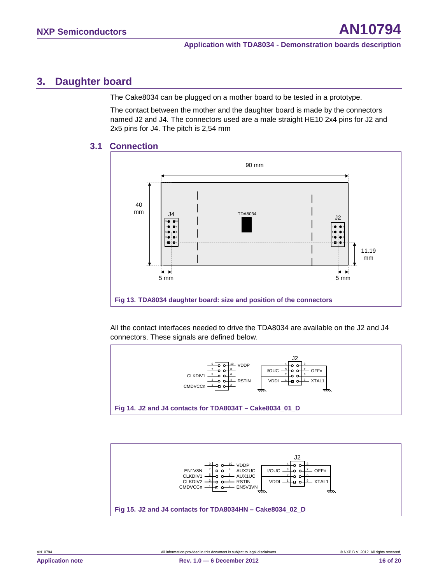# <span id="page-15-3"></span>**3. Daughter board**

The Cake8034 can be plugged on a mother board to be tested in a prototype.

The contact between the mother and the daughter board is made by the connectors named J2 and J4. The connectors used are a male straight HE10 2x4 pins for J2 and 2x5 pins for J4. The pitch is 2,54 mm

#### **3.1 Connection**

<span id="page-15-4"></span>

<span id="page-15-0"></span>All the contact interfaces needed to drive the TDA8034 are available on the J2 and J4 connectors. These signals are defined below.



<span id="page-15-2"></span><span id="page-15-1"></span>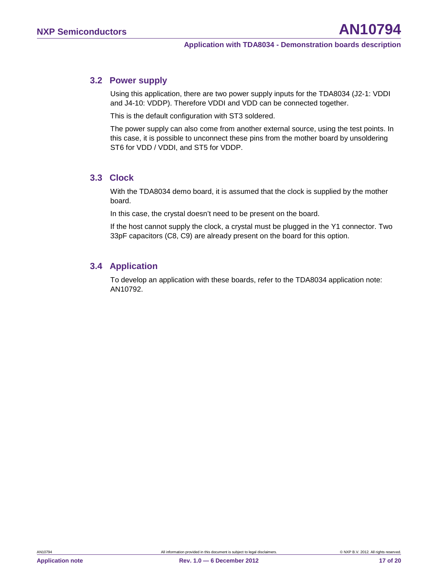#### <span id="page-16-0"></span>**3.2 Power supply**

Using this application, there are two power supply inputs for the TDA8034 (J2-1: VDDI and J4-10: VDDP). Therefore VDDI and VDD can be connected together.

This is the default configuration with ST3 soldered.

The power supply can also come from another external source, using the test points. In this case, it is possible to unconnect these pins from the mother board by unsoldering ST6 for VDD / VDDI, and ST5 for VDDP.

#### <span id="page-16-1"></span>**3.3 Clock**

With the TDA8034 demo board, it is assumed that the clock is supplied by the mother board.

In this case, the crystal doesn't need to be present on the board.

If the host cannot supply the clock, a crystal must be plugged in the Y1 connector. Two 33pF capacitors (C8, C9) are already present on the board for this option.

#### <span id="page-16-2"></span>**3.4 Application**

To develop an application with these boards, refer to the TDA8034 application note: AN10792.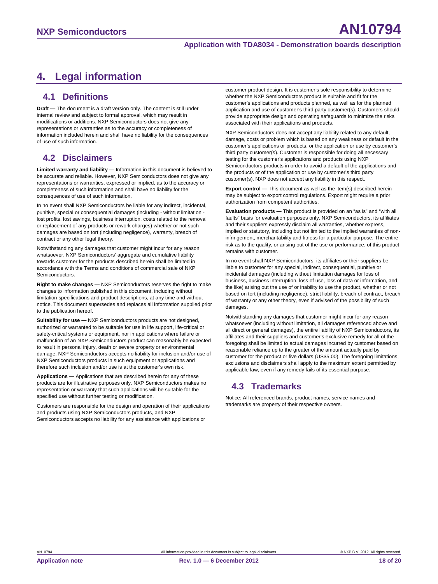# <span id="page-17-0"></span>**4. Legal information**

#### <span id="page-17-1"></span>**4.1 Definitions**

**Draft —** The document is a draft version only. The content is still under internal review and subject to formal approval, which may result in modifications or additions. NXP Semiconductors does not give any representations or warranties as to the accuracy or completeness of information included herein and shall have no liability for the consequences of use of such information.

### <span id="page-17-2"></span>**4.2 Disclaimers**

**Limited warranty and liability —** Information in this document is believed to be accurate and reliable. However, NXP Semiconductors does not give any representations or warranties, expressed or implied, as to the accuracy or completeness of such information and shall have no liability for the consequences of use of such information.

In no event shall NXP Semiconductors be liable for any indirect, incidental, punitive, special or consequential damages (including - without limitation lost profits, lost savings, business interruption, costs related to the removal or replacement of any products or rework charges) whether or not such damages are based on tort (including negligence), warranty, breach of contract or any other legal theory.

Notwithstanding any damages that customer might incur for any reason whatsoever, NXP Semiconductors' aggregate and cumulative liability towards customer for the products described herein shall be limited in accordance with the Terms and conditions of commercial sale of NXP Semiconductors.

**Right to make changes —** NXP Semiconductors reserves the right to make changes to information published in this document, including without limitation specifications and product descriptions, at any time and without notice. This document supersedes and replaces all information supplied prior to the publication hereof.

**Suitability for use —** NXP Semiconductors products are not designed, authorized or warranted to be suitable for use in life support, life-critical or safety-critical systems or equipment, nor in applications where failure or malfunction of an NXP Semiconductors product can reasonably be expected to result in personal injury, death or severe property or environmental damage. NXP Semiconductors accepts no liability for inclusion and/or use of NXP Semiconductors products in such equipment or applications and therefore such inclusion and/or use is at the customer's own risk.

**Applications —** Applications that are described herein for any of these products are for illustrative purposes only. NXP Semiconductors makes no representation or warranty that such applications will be suitable for the specified use without further testing or modification.

Customers are responsible for the design and operation of their applications and products using NXP Semiconductors products, and NXP Semiconductors accepts no liability for any assistance with applications or

customer product design. It is customer's sole responsibility to determine whether the NXP Semiconductors product is suitable and fit for the customer's applications and products planned, as well as for the planned application and use of customer's third party customer(s). Customers should provide appropriate design and operating safeguards to minimize the risks associated with their applications and products.

NXP Semiconductors does not accept any liability related to any default, damage, costs or problem which is based on any weakness or default in the customer's applications or products, or the application or use by customer's third party customer(s). Customer is responsible for doing all necessary testing for the customer's applications and products using NXP Semiconductors products in order to avoid a default of the applications and the products or of the application or use by customer's third party customer(s). NXP does not accept any liability in this respect.

**Export control —** This document as well as the item(s) described herein may be subject to export control regulations. Export might require a prior authorization from competent authorities.

**Evaluation products —** This product is provided on an "as is" and "with all faults" basis for evaluation purposes only. NXP Semiconductors, its affiliates and their suppliers expressly disclaim all warranties, whether express, implied or statutory, including but not limited to the implied warranties of noninfringement, merchantability and fitness for a particular purpose. The entire risk as to the quality, or arising out of the use or performance, of this product remains with customer.

In no event shall NXP Semiconductors, its affiliates or their suppliers be liable to customer for any special, indirect, consequential, punitive or incidental damages (including without limitation damages for loss of business, business interruption, loss of use, loss of data or information, and the like) arising out the use of or inability to use the product, whether or not based on tort (including negligence), strict liability, breach of contract, breach of warranty or any other theory, even if advised of the possibility of such damages

Notwithstanding any damages that customer might incur for any reason whatsoever (including without limitation, all damages referenced above and all direct or general damages), the entire liability of NXP Semiconductors, its affiliates and their suppliers and customer's exclusive remedy for all of the foregoing shall be limited to actual damages incurred by customer based on reasonable reliance up to the greater of the amount actually paid by customer for the product or five dollars (US\$5.00). The foregoing limitations, exclusions and disclaimers shall apply to the maximum extent permitted by applicable law, even if any remedy fails of its essential purpose.

## <span id="page-17-3"></span>**4.3 Trademarks**

Notice: All referenced brands, product names, service names and trademarks are property of their respective owners.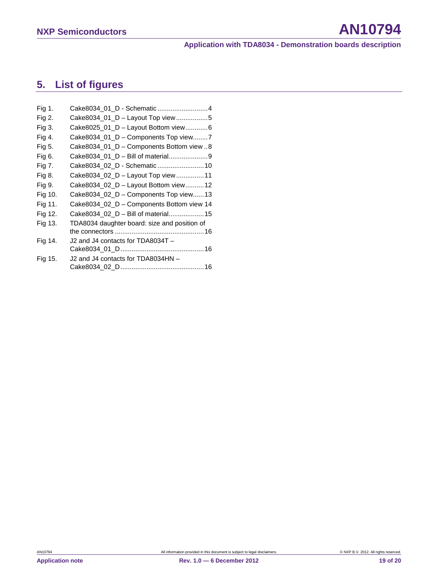# <span id="page-18-0"></span>**5. List of figures**

| Fig 1.  | Cake8034_01_D - Schematic 4                  |
|---------|----------------------------------------------|
| Fig 2.  | Cake8034_01_D - Layout Top view5             |
| Fig 3.  | Cake8025_01_D - Layout Bottom view6          |
| Fig 4.  | Cake8034_01_D - Components Top view7         |
| Fig 5.  | Cake8034_01_D - Components Bottom view8      |
| Fig 6.  | Cake8034_01_D - Bill of material9            |
| Fig 7.  | Cake8034_02_D - Schematic  10                |
| Fig 8.  | Cake8034_02_D - Layout Top view11            |
| Fig 9.  | Cake8034_02_D - Layout Bottom view 12        |
| Fig 10. | Cake8034_02_D - Components Top view13        |
| Fig 11. | Cake8034_02_D - Components Bottom view 14    |
| Fig 12. | Cake8034_02_D - Bill of material15           |
| Fig 13. | TDA8034 daughter board: size and position of |
|         |                                              |
| Fig 14. | J2 and J4 contacts for TDA8034T -            |
|         |                                              |
| Fig 15. | J2 and J4 contacts for TDA8034HN -           |
|         |                                              |